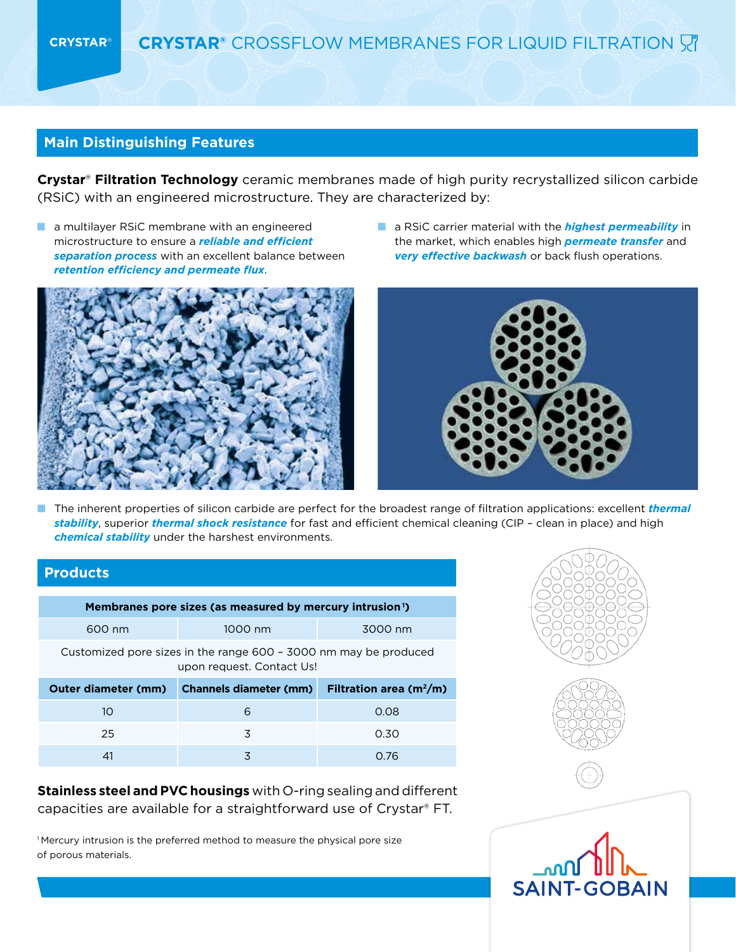# **Main Distinguishing Features**

**Crystar**® **Filtration Technology** ceramic membranes made of high purity recrystallized silicon carbide (RSiC) with an engineered microstructure. They are characterized by:

■ a multilayer RSiC membrane with an engineered microstructure to ensure a *reliable and efficient separation process* with an excellent balance between *retention efficiency and permeate flux*.



■ a RSiC carrier material with the *highest permeability* in the market, which enables high *permeate transfer* and *very effective backwash* or back flush operations.



■ The inherent properties of silicon carbide are perfect for the broadest range of filtration applications: excellent *thermal stability*, superior *thermal shock resistance* for fast and efficient chemical cleaning (CIP – clean in place) and high *chemical stability* under the harshest environments.

## **Products**

| Membranes pore sizes (as measured by mercury intrusion <sup>1</sup> )                         |                               |                             |  |  |  |
|-----------------------------------------------------------------------------------------------|-------------------------------|-----------------------------|--|--|--|
| 600 nm                                                                                        | 1000 nm                       | 3000 nm                     |  |  |  |
| Customized pore sizes in the range 600 - 3000 nm may be produced<br>upon request. Contact Us! |                               |                             |  |  |  |
|                                                                                               |                               |                             |  |  |  |
| <b>Outer diameter (mm)</b>                                                                    | <b>Channels diameter (mm)</b> | Filtration area ( $m^2/m$ ) |  |  |  |
| 10                                                                                            | 6                             | 0.08                        |  |  |  |
| 25                                                                                            | 3                             | 0.30                        |  |  |  |

**Stainless steel and PVC housings** with O-ring sealing and different capacities are available for a straightforward use of Crystar® FT.

<sup>1</sup>Mercury intrusion is the preferred method to measure the physical pore size of porous materials.



**SAINT-GOBAIN**